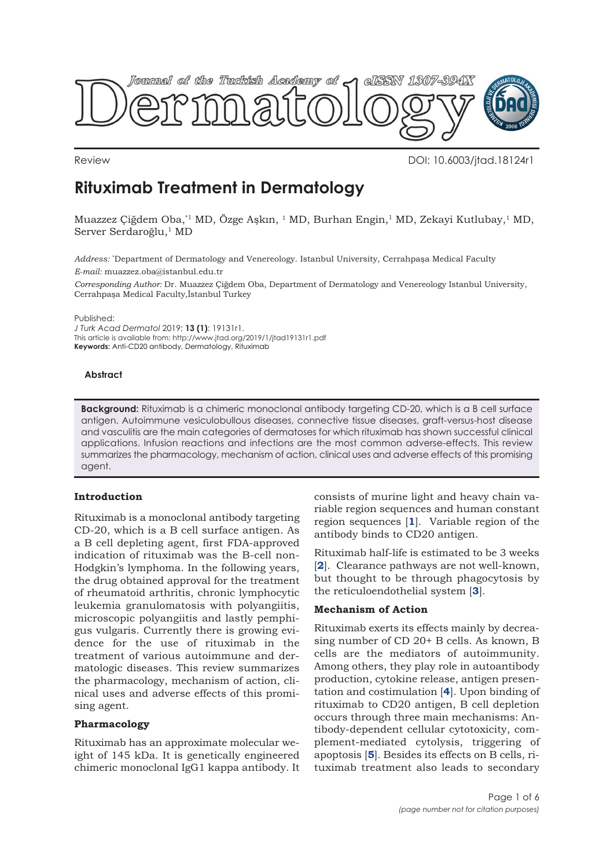

Review DOI: 10.6003/jtad.18124r1

# **Rituximab Treatment in Dermatology**

Muazzez Çiğdem Oba,\*1 MD, Özge Aşkın, 1 MD, Burhan Engin,1 MD, Zekayi Kutlubay,1 MD, Server Serdaroğlu,<sup>1</sup> MD

*Address:* \* Department of Dermatology and Venereology. Istanbul University, Cerrahpaşa Medical Faculty *E-mail:* muazzez.oba@istanbul.edu.tr

*Corresponding Author:* Dr. Muazzez Çiğdem Oba, Department of Dermatology and Venereology Istanbul University, Cerrahpaşa Medical Faculty,İstanbul Turkey

Published:

*J Turk Acad Dermatol* 2019; **13 (1)**: 19131r1. This article is available from: http://www.jtad.org/2019/1/jtad19131r1.pdf **Keywords:** Anti-CD20 antibody, Dermatology, Rituximab

## **Abstract**

**Background:** Rituximab is a chimeric monoclonal antibody targeting CD-20, which is a B cell surface antigen. Autoimmune vesiculobullous diseases, connective tissue diseases, graft-versus-host disease and vasculitis are the main categories of dermatoses for which rituximab has shown successful clinical applications. Infusion reactions and infections are the most common adverse-effects. This review summarizes the pharmacology, mechanism of action, clinical uses and adverse effects of this promising agent.

## **Introduction**

Rituximab is a monoclonal antibody targeting CD-20, which is a B cell surface antigen. As a B cell depleting agent, first FDA-approved indication of rituximab was the B-cell non-Hodgkin's lymphoma. In the following years, the drug obtained approval for the treatment of rheumatoid arthritis, chronic lymphocytic leukemia granulomatosis with polyangiitis, microscopic polyangiitis and lastly pemphigus vulgaris. Currently there is growing evidence for the use of rituximab in the treatment of various autoimmune and dermatologic diseases. This review summarizes the pharmacology, mechanism of action, clinical uses and adverse effects of this promising agent.

## **Pharmacology**

Rituximab has an approximate molecular weight of 145 kDa. It is genetically engineered chimeric monoclonal IgG1 kappa antibody. It

consists of murine light and heavy chain variable region sequences and human constant region sequences [**[1](#page-4-0)**]. Variable region of the antibody binds to CD20 antigen.

Rituximab half-life is estimated to be 3 weeks [**[2](#page-4-0)**]. Clearance pathways are not well-known, but thought to be through phagocytosis by the reticuloendothelial system [**[3](#page-4-0)**].

## **Mechanism of Action**

Rituximab exerts its effects mainly by decreasing number of CD 20+ B cells. As known, B cells are the mediators of autoimmunity. Among others, they play role in autoantibody production, cytokine release, antigen presentation and costimulation [**[4](#page-4-0)**]. Upon binding of rituximab to CD20 antigen, B cell depletion occurs through three main mechanisms: Antibody-dependent cellular cytotoxicity, complement-mediated cytolysis, triggering of apoptosis [**[5](#page-4-0)**]. Besides its effects on B cells, rituximab treatment also leads to secondary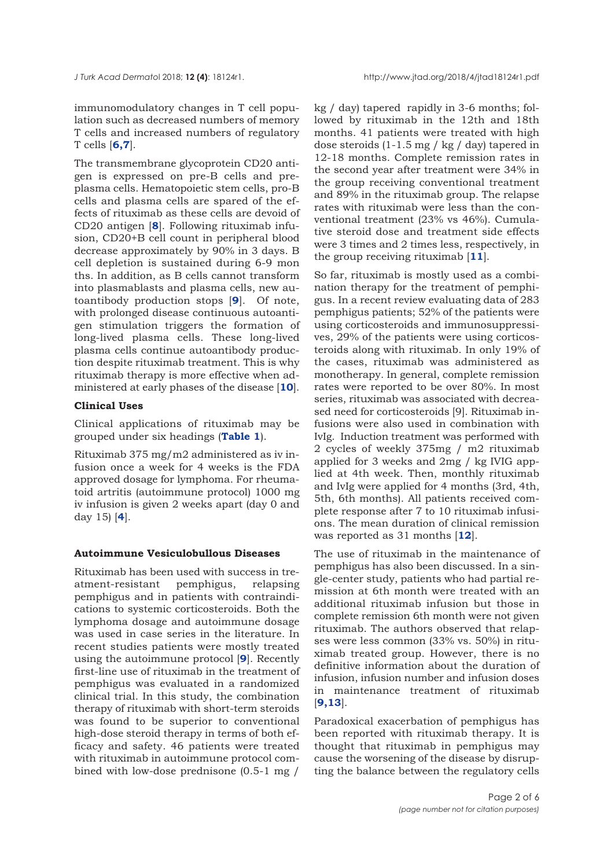immunomodulatory changes in T cell population such as decreased numbers of memory T cells and increased numbers of regulatory T cells [**[6,7](#page-4-0)**].

The transmembrane glycoprotein CD20 antigen is expressed on pre-B cells and preplasma cells. Hematopoietic stem cells, pro-B cells and plasma cells are spared of the effects of rituximab as these cells are devoid of CD20 antigen [**[8](#page-4-0)**]. Following rituximab infusion, CD20+B cell count in peripheral blood decrease approximately by 90% in 3 days. B cell depletion is sustained during 6-9 mon ths. In addition, as B cells cannot transform into plasmablasts and plasma cells, new autoantibody production stops [**[9](#page-4-0)**]. Of note, with prolonged disease continuous autoantigen stimulation triggers the formation of long-lived plasma cells. These long-lived plasma cells continue autoantibody production despite rituximab treatment. This is why rituximab therapy is more effective when administered at early phases of the disease [**[10](#page-4-0)**].

## **Clinical Uses**

Clinical applications of rituximab may be grouped under six headings (**[Table 1](#page-2-0)**).

Rituximab 375 mg/m2 administered as iv infusion once a week for 4 weeks is the FDA approved dosage for lymphoma. For rheumatoid artritis (autoimmune protocol) 1000 mg iv infusion is given 2 weeks apart (day 0 and day 15) [**[4](#page-4-0)**].

## **Autoimmune Vesiculobullous Diseases**

Rituximab has been used with success in treatment-resistant pemphigus, relapsing pemphigus and in patients with contraindications to systemic corticosteroids. Both the lymphoma dosage and autoimmune dosage was used in case series in the literature. In recent studies patients were mostly treated using the autoimmune protocol [**[9](#page-4-0)**]. Recently first-line use of rituximab in the treatment of pemphigus was evaluated in a randomized clinical trial. In this study, the combination therapy of rituximab with short-term steroids was found to be superior to conventional high-dose steroid therapy in terms of both efficacy and safety. 46 patients were treated with rituximab in autoimmune protocol combined with low-dose prednisone (0.5-1 mg /

kg / day) tapered rapidly in 3-6 months; followed by rituximab in the 12th and 18th months. 41 patients were treated with high dose steroids (1-1.5 mg / kg / day) tapered in 12-18 months. Complete remission rates in the second year after treatment were 34% in the group receiving conventional treatment and 89% in the rituximab group. The relapse rates with rituximab were less than the conventional treatment (23% vs 46%). Cumulative steroid dose and treatment side effects were 3 times and 2 times less, respectively, in the group receiving rituximab [**[11](#page-4-0)**].

So far, rituximab is mostly used as a combination therapy for the treatment of pemphigus. In a recent review evaluating data of 283 pemphigus patients; 52% of the patients were using corticosteroids and immunosuppressives, 29% of the patients were using corticosteroids along with rituximab. In only 19% of the cases, rituximab was administered as monotherapy. In general, complete remission rates were reported to be over 80%. In most series, rituximab was associated with decreased need for corticosteroids [9]. Rituximab infusions were also used in combination with IvIg. Induction treatment was performed with 2 cycles of weekly 375mg / m2 rituximab applied for 3 weeks and 2mg / kg IVIG applied at 4th week. Then, monthly rituximab and IvIg were applied for 4 months (3rd, 4th, 5th, 6th months). All patients received complete response after 7 to 10 rituximab infusions. The mean duration of clinical remission was reported as 31 months [**[12](#page-4-0)**].

The use of rituximab in the maintenance of pemphigus has also been discussed. In a single-center study, patients who had partial remission at 6th month were treated with an additional rituximab infusion but those in complete remission 6th month were not given rituximab. The authors observed that relapses were less common (33% vs. 50%) in rituximab treated group. However, there is no definitive information about the duration of infusion, infusion number and infusion doses in maintenance treatment of rituximab [**[9](#page-4-0),[13](#page-4-0)**].

Paradoxical exacerbation of pemphigus has been reported with rituximab therapy. It is thought that rituximab in pemphigus may cause the worsening of the disease by disrupting the balance between the regulatory cells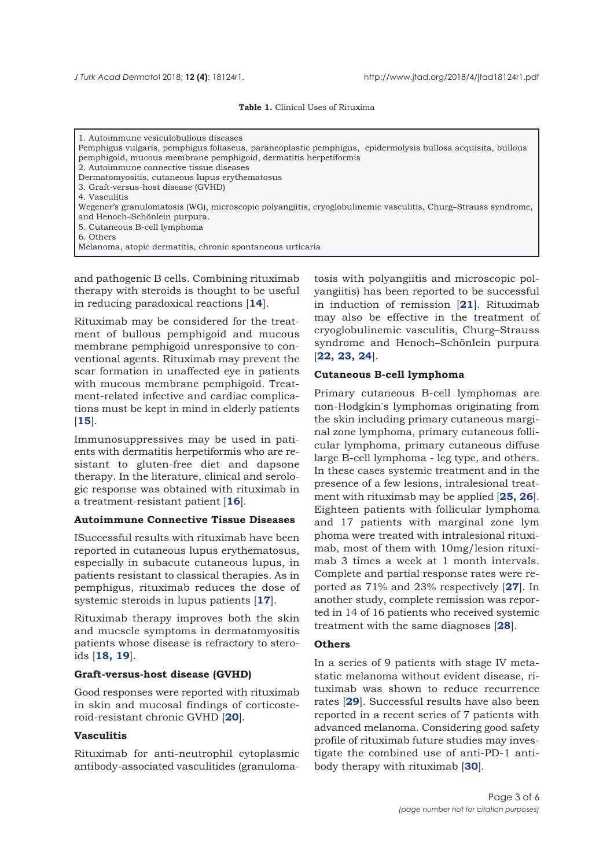#### **Table 1.** Clinical Uses of Rituxima

<span id="page-2-0"></span>

| 1. Autoimmune vesiculobullous diseases                                                                        |  |  |  |  |  |  |
|---------------------------------------------------------------------------------------------------------------|--|--|--|--|--|--|
| Pemphigus vulgaris, pemphigus foliaseus, paraneoplastic pemphigus, epidermolysis bullosa acquisita, bullous   |  |  |  |  |  |  |
| pemphigoid, mucous membrane pemphigoid, dermatitis herpetiformis                                              |  |  |  |  |  |  |
| 2. Autoimmune connective tissue diseases                                                                      |  |  |  |  |  |  |
| Dermatomyositis, cutaneous lupus erythematosus                                                                |  |  |  |  |  |  |
| 3. Graft-versus-host disease (GVHD)                                                                           |  |  |  |  |  |  |
| 4. Vasculitis                                                                                                 |  |  |  |  |  |  |
| Wegener's granulomatosis (WG), microscopic polyangiitis, cryoglobulinemic vasculitis, Churg-Strauss syndrome, |  |  |  |  |  |  |
| and Henoch-Schönlein purpura.                                                                                 |  |  |  |  |  |  |
| 5. Cutaneous B-cell lymphoma                                                                                  |  |  |  |  |  |  |
| 6. Others                                                                                                     |  |  |  |  |  |  |
| Melanoma, atopic dermatitis, chronic spontaneous urticaria                                                    |  |  |  |  |  |  |

and pathogenic B cells. Combining rituximab therapy with steroids is thought to be useful in reducing paradoxical reactions [**[14](#page-4-0)**].

Rituximab may be considered for the treatment of bullous pemphigoid and mucous membrane pemphigoid unresponsive to conventional agents. Rituximab may prevent the scar formation in unaffected eye in patients with mucous membrane pemphigoid. Treatment-related infective and cardiac complications must be kept in mind in elderly patients [**[15](#page-4-0)**].

Immunosuppressives may be used in patients with dermatitis herpetiformis who are resistant to gluten-free diet and dapsone therapy. In the literature, clinical and serologic response was obtained with rituximab in a treatment-resistant patient [**[16](#page-4-0)**].

#### **Autoimmune Connective Tissue Diseases**

ISuccessful results with rituximab have been reported in cutaneous lupus erythematosus, especially in subacute cutaneous lupus, in patients resistant to classical therapies. As in pemphigus, rituximab reduces the dose of systemic steroids in lupus patients [**[17](#page-4-0)**].

Rituximab therapy improves both the skin and mucscle symptoms in dermatomyositis patients whose disease is refractory to steroids [**[18, 19](#page-4-0)**].

#### **Graft-versus-host disease (GVHD)**

Good responses were reported with rituximab in skin and mucosal findings of corticosteroid-resistant chronic GVHD [**[20](#page-4-0)**].

#### **Vasculitis**

Rituximab for anti-neutrophil cytoplasmic antibody-associated vasculitides (granulomatosis with polyangiitis and microscopic polyangiitis) has been reported to be successful in induction of remission [**[21](#page-4-0)**]. Rituximab may also be effective in the treatment of cryoglobulinemic vasculitis, Churg–Strauss syndrome and Henoch–Schönlein purpura [**[22, 23, 24](#page-4-0)**].

#### **Cutaneous B-cell lymphoma**

Primary cutaneous B-cell lymphomas are non-Hodgkin's lymphomas originating from the skin including primary cutaneous marginal zone lymphoma, primary cutaneous follicular lymphoma, primary cutaneous diffuse large B-cell lymphoma - leg type, and others. In these cases systemic treatment and in the presence of a few lesions, intralesional treatment with rituximab may be applied [**[25, 26](#page-4-0)**]. Eighteen patients with follicular lymphoma and 17 patients with marginal zone lym phoma were treated with intralesional rituximab, most of them with 10mg/lesion rituximab 3 times a week at 1 month intervals. Complete and partial response rates were reported as 71% and 23% respectively [**[27](#page-4-0)**]. In another study, complete remission was reported in 14 of 16 patients who received systemic treatment with the same diagnoses [**[28](#page-4-0)**].

## **Others**

In a series of 9 patients with stage IV metastatic melanoma without evident disease, rituximab was shown to reduce recurrence rates [**[29](#page-4-0)**]. Successful results have also been reported in a recent series of 7 patients with advanced melanoma. Considering good safety profile of rituximab future studies may investigate the combined use of anti-PD-1 antibody therapy with rituximab [**[30](#page-4-0)**].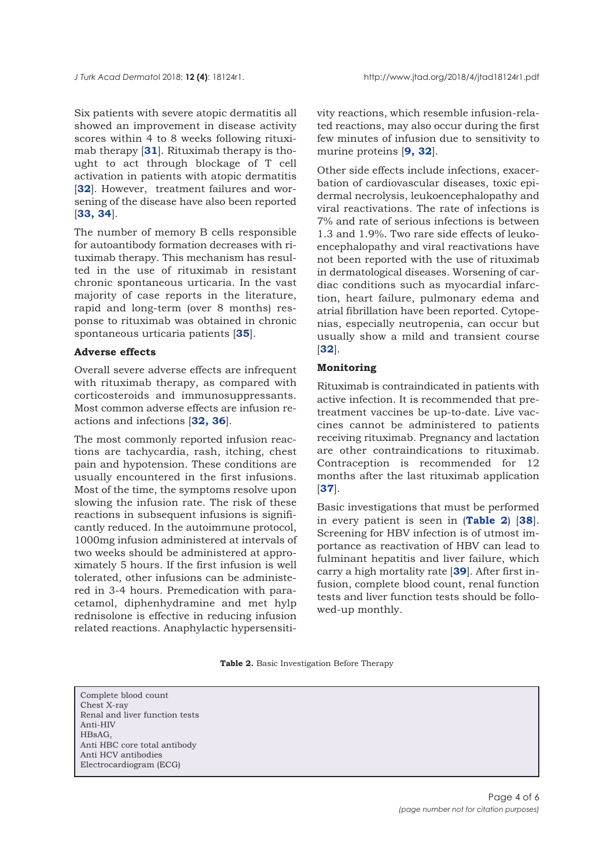Six patients with severe atopic dermatitis all showed an improvement in disease activity scores within 4 to 8 weeks following rituximab therapy [**[31](#page-5-0)**]. Rituximab therapy is thought to act through blockage of T cell activation in patients with atopic dermatitis [[32](#page-5-0)]. However, treatment failures and worsening of the disease have also been reported [**[33, 34](#page-5-0)**].

The number of memory B cells responsible for autoantibody formation decreases with rituximab therapy. This mechanism has resulted in the use of rituximab in resistant chronic spontaneous urticaria. In the vast majority of case reports in the literature, rapid and long-term (over 8 months) response to rituximab was obtained in chronic spontaneous urticaria patients [**[35](#page-5-0)**].

#### **Adverse effects**

Overall severe adverse effects are infrequent with rituximab therapy, as compared with corticosteroids and immunosuppressants. Most common adverse effects are infusion reactions and infections [**[32,](#page-5-0) [36](#page-5-0)**].

The most commonly reported infusion reactions are tachycardia, rash, itching, chest pain and hypotension. These conditions are usually encountered in the first infusions. Most of the time, the symptoms resolve upon slowing the infusion rate. The risk of these reactions in subsequent infusions is significantly reduced. In the autoimmune protocol, 1000mg infusion administered at intervals of two weeks should be administered at approximately 5 hours. If the first infusion is well tolerated, other infusions can be administered in 3-4 hours. Premedication with paracetamol, diphenhydramine and met hylp rednisolone is effective in reducing infusion related reactions. Anaphylactic hypersensitivity reactions, which resemble infusion-related reactions, may also occur during the first few minutes of infusion due to sensitivity to murine proteins [**[9,](#page-4-0) [32](#page-5-0)**].

Other side effects include infections, exacerbation of cardiovascular diseases, toxic epidermal necrolysis, leukoencephalopathy and viral reactivations. The rate of infections is 7% and rate of serious infections is between 1.3 and 1.9%. Two rare side effects of leukoencephalopathy and viral reactivations have not been reported with the use of rituximab in dermatological diseases. Worsening of cardiac conditions such as myocardial infarction, heart failure, pulmonary edema and atrial fibrillation have been reported. Cytopenias, especially neutropenia, can occur but usually show a mild and transient course [**[32](#page-5-0)**].

## **Monitoring**

Rituximab is contraindicated in patients with active infection. It is recommended that pretreatment vaccines be up-to-date. Live vaccines cannot be administered to patients receiving rituximab. Pregnancy and lactation are other contraindications to rituximab. Contraception is recommended for 12 months after the last rituximab application [**[37](#page-5-0)**].

Basic investigations that must be performed in every patient is seen in (**Table 2**) [**[38](#page-5-0)**]. Screening for HBV infection is of utmost importance as reactivation of HBV can lead to fulminant hepatitis and liver failure, which carry a high mortality rate [**[39](#page-5-0)**]. After first infusion, complete blood count, renal function tests and liver function tests should be followed-up monthly.

|  |  |  |  | Table 2. Basic Investigation Before Therapy |  |  |
|--|--|--|--|---------------------------------------------|--|--|
|--|--|--|--|---------------------------------------------|--|--|

Complete blood count Chest X-ray Renal and liver function tests Anti-HIV HBsAG, Anti HBC core total antibody Anti HCV antibodies Electrocardiogram (ECG)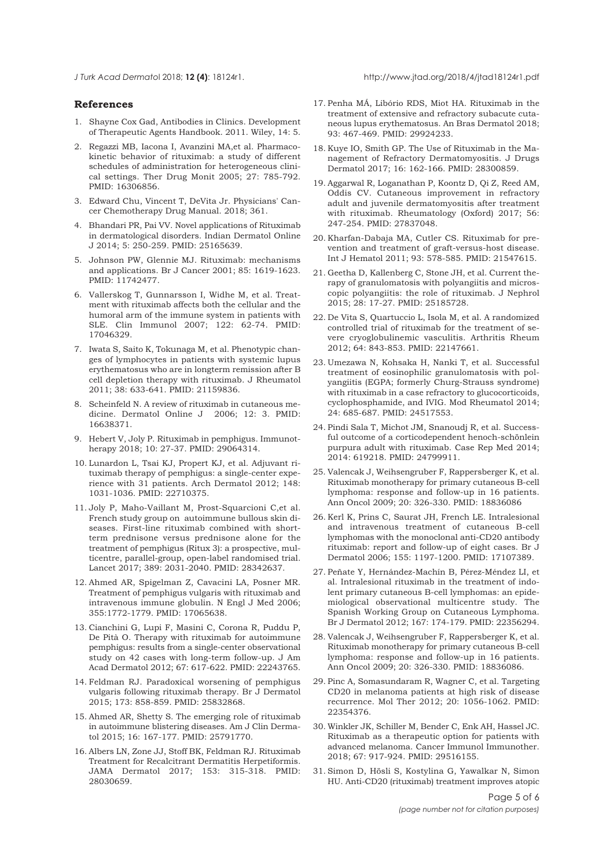#### <span id="page-4-0"></span>*J Turk Acad Dermato*l 2018; **12 (4)**: 18124r1. http://www.jtad.org/2018/4/jtad18124r1.pdf

#### **References**

- 1. Shayne Cox Gad, Antibodies in Clinics. Development of Therapeutic Agents Handbook. 2011. Wiley, 14: 5.
- 2. Regazzi MB, Iacona I, Avanzini MA,et al. Pharmacokinetic behavior of rituximab: a study of different schedules of administration for heterogeneous clinical settings. Ther Drug Monit 2005; 27: 785-792. PMID: 16306856.
- 3. Edward Chu, Vincent T, DeVita Jr. Physicians' Cancer Chemotherapy Drug Manual. 2018; 361.
- 4. Bhandari PR, Pai VV. Novel applications of Rituximab in dermatological disorders. Indian Dermatol Online J 2014; 5: 250-259. PMID: 25165639.
- 5. Johnson PW, Glennie MJ. Rituximab: mechanisms and applications. Br J Cancer 2001; 85: 1619-1623. PMID: 11742477.
- 6. Vallerskog T, Gunnarsson I, Widhe M, et al. Treatment with rituximab affects both the cellular and the humoral arm of the immune system in patients with SLE. Clin Immunol 2007; 122: 62-74. PMID: 17046329.
- 7. Iwata S, Saito K, Tokunaga M, et al. Phenotypic changes of lymphocytes in patients with systemic lupus erythematosus who are in longterm remission after B cell depletion therapy with rituximab. J Rheumatol 2011; 38: 633-641. PMID: 21159836.
- 8. Scheinfeld N. A review of rituximab in cutaneous medicine. Dermatol Online J 2006; 12: 3. PMID: 16638371.
- 9. Hebert V, Joly P. Rituximab in pemphigus. Immunotherapy 2018; 10: 27-37. PMID: 29064314.
- 10. Lunardon L, Tsai KJ, Propert KJ, et al. Adjuvant rituximab therapy of pemphigus: a single-center experience with 31 patients. Arch Dermatol 2012; 148: 1031-1036. PMID: 22710375.
- 11. Joly P, Maho-Vaillant M, Prost-Squarcioni C,et al. French study group on autoimmune bullous skin diseases. First-line rituximab combined with shortterm prednisone versus prednisone alone for the treatment of pemphigus (Ritux 3): a prospective, multicentre, parallel-group, open-label randomised trial. Lancet 2017; 389: 2031-2040. PMID: 28342637.
- 12. Ahmed AR, Spigelman Z, Cavacini LA, Posner MR. Treatment of pemphigus vulgaris with rituximab and intravenous immune globulin. N Engl J Med 2006; 355:1772-1779. PMID: 17065638.
- 13. Cianchini G, Lupi F, Masini C, Corona R, Puddu P, De Pità O. Therapy with rituximab for autoimmune pemphigus: results from a single-center observational study on 42 cases with long-term follow-up. J Am Acad Dermatol 2012; 67: 617-622. PMID: 22243765.
- 14. Feldman RJ. Paradoxical worsening of pemphigus vulgaris following rituximab therapy. Br J Dermatol 2015; 173: 858-859. PMID: 25832868.
- 15. Ahmed AR, Shetty S. The emerging role of rituximab in autoimmune blistering diseases. Am J Clin Dermatol 2015; 16: 167-177. PMID: 25791770.
- 16. Albers LN, Zone JJ, Stoff BK, Feldman RJ. Rituximab Treatment for Recalcitrant Dermatitis Herpetiformis. JAMA Dermatol 2017; 153: 315-318. PMID: 28030659.
- 17. Penha MÁ, Libório RDS, Miot HA. Rituximab in the treatment of extensive and refractory subacute cutaneous lupus erythematosus. An Bras Dermatol 2018; 93: 467-469. PMID: 29924233.
- 18. Kuye IO, Smith GP. The Use of Rituximab in the Management of Refractory Dermatomyositis. J Drugs Dermatol 2017; 16: 162-166. PMID: 28300859.
- 19. Aggarwal R, Loganathan P, Koontz D, Qi Z, Reed AM, Oddis CV. Cutaneous improvement in refractory adult and juvenile dermatomyositis after treatment with rituximab. Rheumatology (Oxford) 2017; 56: 247-254. PMID: 27837048.
- 20. Kharfan-Dabaja MA, Cutler CS. Rituximab for prevention and treatment of graft-versus-host disease. Int J Hematol 2011; 93: 578-585. PMID: 21547615.
- 21. Geetha D, Kallenberg C, Stone JH, et al. Current therapy of granulomatosis with polyangiitis and microscopic polyangiitis: the role of rituximab. J Nephrol 2015; 28: 17-27. PMID: 25185728.
- 22. De Vita S, Quartuccio L, Isola M, et al. A randomized controlled trial of rituximab for the treatment of severe cryoglobulinemic vasculitis. Arthritis Rheum 2012; 64: 843-853. PMID: 22147661.
- 23. Umezawa N, Kohsaka H, Nanki T, et al. Successful treatment of eosinophilic granulomatosis with polyangiitis (EGPA; formerly Churg-Strauss syndrome) with rituximab in a case refractory to glucocorticoids, cyclophosphamide, and IVIG. Mod Rheumatol 2014; 24: 685-687. PMID: 24517553.
- 24. Pindi Sala T, Michot JM, Snanoudj R, et al. Successful outcome of a corticodependent henoch-schönlein purpura adult with rituximab. Case Rep Med 2014; 2014: 619218. PMID: 24799911.
- 25. Valencak J, Weihsengruber F, Rappersberger K, et al. Rituximab monotherapy for primary cutaneous B-cell lymphoma: response and follow-up in 16 patients. Ann Oncol 2009; 20: 326-330. PMID: 18836086
- 26. Kerl K, Prins C, Saurat JH, French LE. Intralesional and intravenous treatment of cutaneous B-cell lymphomas with the monoclonal anti-CD20 antibody rituximab: report and follow-up of eight cases. Br J Dermatol 2006; 155: 1197-1200. PMID: 17107389.
- 27. Peñate Y, Hernández-Machín B, Pérez-Méndez LI, et al. Intralesional rituximab in the treatment of indolent primary cutaneous B-cell lymphomas: an epidemiological observational multicentre study. The Spanish Working Group on Cutaneous Lymphoma. Br J Dermatol 2012; 167: 174-179. PMID: 22356294.
- 28. Valencak J, Weihsengruber F, Rappersberger K, et al. Rituximab monotherapy for primary cutaneous B-cell lymphoma: response and follow-up in 16 patients. Ann Oncol 2009; 20: 326-330. PMID: 18836086.
- 29. Pinc A, Somasundaram R, Wagner C, et al. Targeting CD20 in melanoma patients at high risk of disease recurrence. Mol Ther 2012; 20: 1056-1062. PMID: 22354376.
- 30. Winkler JK, Schiller M, Bender C, Enk AH, Hassel JC. Rituximab as a therapeutic option for patients with advanced melanoma. Cancer Immunol Immunother. 2018; 67: 917-924. PMID: 29516155.
- 31. Simon D, Hösli S, Kostylina G, Yawalkar N, Simon HU. Anti-CD20 (rituximab) treatment improves atopic